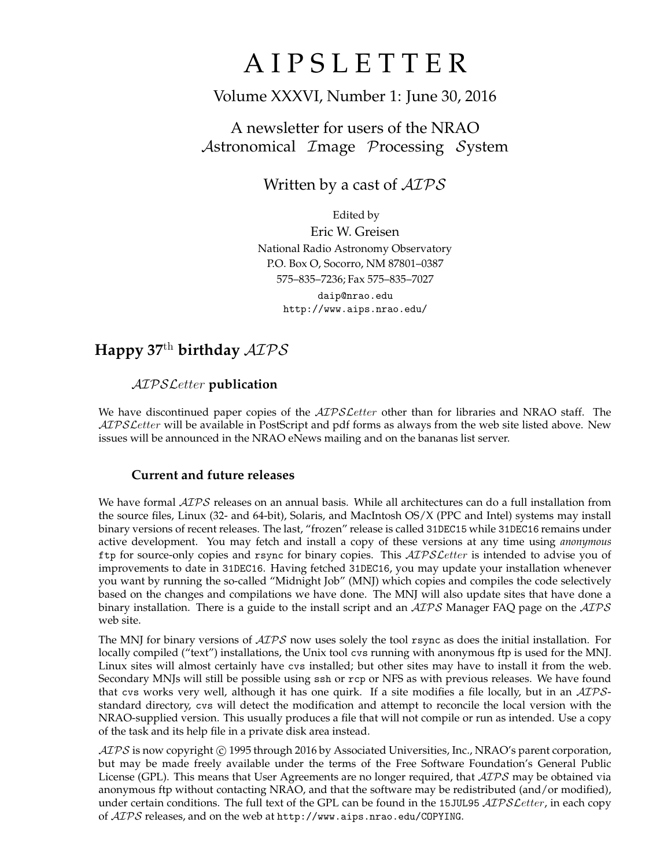# **AIPSLETTER**

# Volume XXXVI, Number 1: June 30, 2016

# A newsletter for users of the NRAO Astronomical Image Processing System

# Written by a cast of  $AIPS$

Edited by Eric W. Greisen National Radio Astronomy Observatory P.O. Box O, Socorro, NM 87801–0387 575–835–7236; Fax 575–835–7027 daip@nrao.edu http://www.aips.nrao.edu/

# **Happy 37**th **birthday** AIPS

### AIPSLetter **publication**

We have discontinued paper copies of the *AIPS Letter* other than for libraries and NRAO staff. The AIPS Letter will be available in PostScript and pdf forms as always from the web site listed above. New issues will be announced in the NRAO eNews mailing and on the bananas list server.

### **Current and future releases**

We have formal  $\mathcal{AIPS}$  releases on an annual basis. While all architectures can do a full installation from the source files, Linux (32- and 64-bit), Solaris, and MacIntosh OS/X (PPC and Intel) systems may install binary versions of recent releases. The last, "frozen" release is called 31DEC15 while 31DEC16 remains under active development. You may fetch and install a copy of these versions at any time using *anonymous* ftp for source-only copies and rsync for binary copies. This  $ATPSLetter$  is intended to advise you of improvements to date in 31DEC16. Having fetched 31DEC16, you may update your installation whenever you want by running the so-called "Midnight Job" (MNJ) which copies and compiles the code selectively based on the changes and compilations we have done. The MNJ will also update sites that have done a binary installation. There is a guide to the install script and an  $AIPS$  Manager FAQ page on the  $AIPS$ web site.

The MNJ for binary versions of  $\mathcal{AIPS}$  now uses solely the tool rsync as does the initial installation. For locally compiled ("text") installations, the Unix tool cvs running with anonymous ftp is used for the MNJ. Linux sites will almost certainly have cvs installed; but other sites may have to install it from the web. Secondary MNJs will still be possible using ssh or rcp or NFS as with previous releases. We have found that cvs works very well, although it has one quirk. If a site modifies a file locally, but in an AIPSstandard directory, cvs will detect the modification and attempt to reconcile the local version with the NRAO-supplied version. This usually produces a file that will not compile or run as intended. Use a copy of the task and its help file in a private disk area instead.

 $ATPS$  is now copyright  $\odot$  1995 through 2016 by Associated Universities, Inc., NRAO's parent corporation, but may be made freely available under the terms of the Free Software Foundation's General Public License (GPL). This means that User Agreements are no longer required, that  $\mathcal{AIPS}$  may be obtained via anonymous ftp without contacting NRAO, and that the software may be redistributed (and/or modified), under certain conditions. The full text of the GPL can be found in the 15JUL95  $\mathcal{AIPS}$  *Cetter*, in each copy of AIPS releases, and on the web at http://www.aips.nrao.edu/COPYING.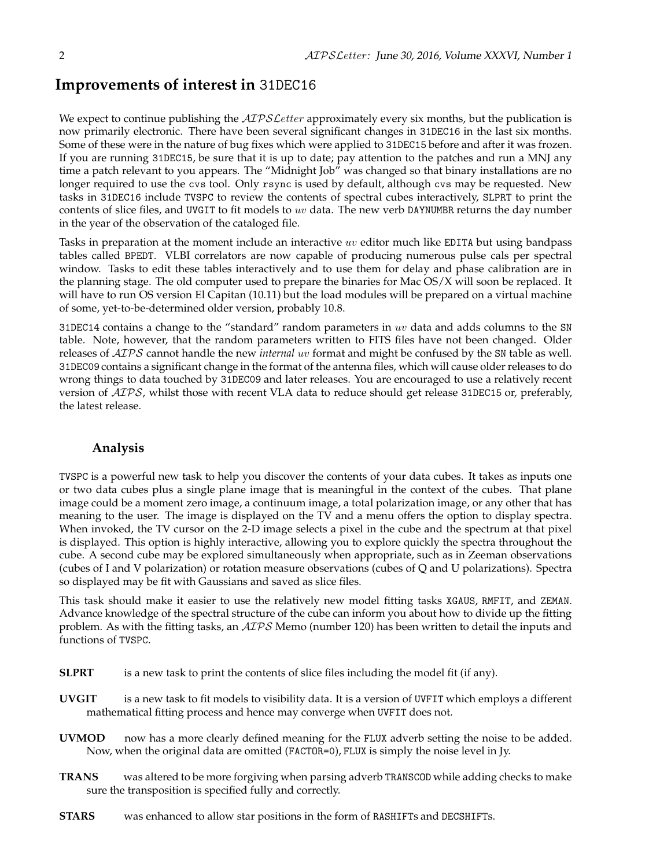### **Improvements of interest in** 31DEC16

We expect to continue publishing the  $ATPSLetter$  approximately every six months, but the publication is now primarily electronic. There have been several significant changes in 31DEC16 in the last six months. Some of these were in the nature of bug fixes which were applied to 31DEC15 before and after it was frozen. If you are running 31DEC15, be sure that it is up to date; pay attention to the patches and run a MNJ any time a patch relevant to you appears. The "Midnight Job" was changed so that binary installations are no longer required to use the cvs tool. Only rsync is used by default, although cvs may be requested. New tasks in 31DEC16 include TVSPC to review the contents of spectral cubes interactively, SLPRT to print the contents of slice files, and UVGIT to fit models to  $uv$  data. The new verb DAYNUMBR returns the day number in the year of the observation of the cataloged file.

Tasks in preparation at the moment include an interactive uv editor much like EDITA but using bandpass tables called BPEDT. VLBI correlators are now capable of producing numerous pulse cals per spectral window. Tasks to edit these tables interactively and to use them for delay and phase calibration are in the planning stage. The old computer used to prepare the binaries for Mac OS/X will soon be replaced. It will have to run OS version El Capitan (10.11) but the load modules will be prepared on a virtual machine of some, yet-to-be-determined older version, probably 10.8.

31DEC14 contains a change to the "standard" random parameters in  $uv$  data and adds columns to the SN table. Note, however, that the random parameters written to FITS files have not been changed. Older releases of AIPS cannot handle the new *internal* uv format and might be confused by the SN table as well. 31DEC09 contains a significant change in the format of the antenna files, which will cause older releases to do wrong things to data touched by 31DEC09 and later releases. You are encouraged to use a relatively recent version of AIPS, whilst those with recent VLA data to reduce should get release 31DEC15 or, preferably, the latest release.

#### **Analysis**

TVSPC is a powerful new task to help you discover the contents of your data cubes. It takes as inputs one or two data cubes plus a single plane image that is meaningful in the context of the cubes. That plane image could be a moment zero image, a continuum image, a total polarization image, or any other that has meaning to the user. The image is displayed on the TV and a menu offers the option to display spectra. When invoked, the TV cursor on the 2-D image selects a pixel in the cube and the spectrum at that pixel is displayed. This option is highly interactive, allowing you to explore quickly the spectra throughout the cube. A second cube may be explored simultaneously when appropriate, such as in Zeeman observations (cubes of I and V polarization) or rotation measure observations (cubes of Q and U polarizations). Spectra so displayed may be fit with Gaussians and saved as slice files.

This task should make it easier to use the relatively new model fitting tasks XGAUS, RMFIT, and ZEMAN. Advance knowledge of the spectral structure of the cube can inform you about how to divide up the fitting problem. As with the fitting tasks, an AIPS Memo (number 120) has been written to detail the inputs and functions of TVSPC.

- **SLPRT** is a new task to print the contents of slice files including the model fit (if any).
- **UVGIT** is a new task to fit models to visibility data. It is a version of UVFIT which employs a different mathematical fitting process and hence may converge when UVFIT does not.
- **UVMOD** now has a more clearly defined meaning for the FLUX adverb setting the noise to be added. Now, when the original data are omitted (FACTOR=0), FLUX is simply the noise level in Jy.
- **TRANS** was altered to be more forgiving when parsing adverb TRANSCOD while adding checks to make sure the transposition is specified fully and correctly.
- **STARS** was enhanced to allow star positions in the form of RASHIFTs and DECSHIFTs.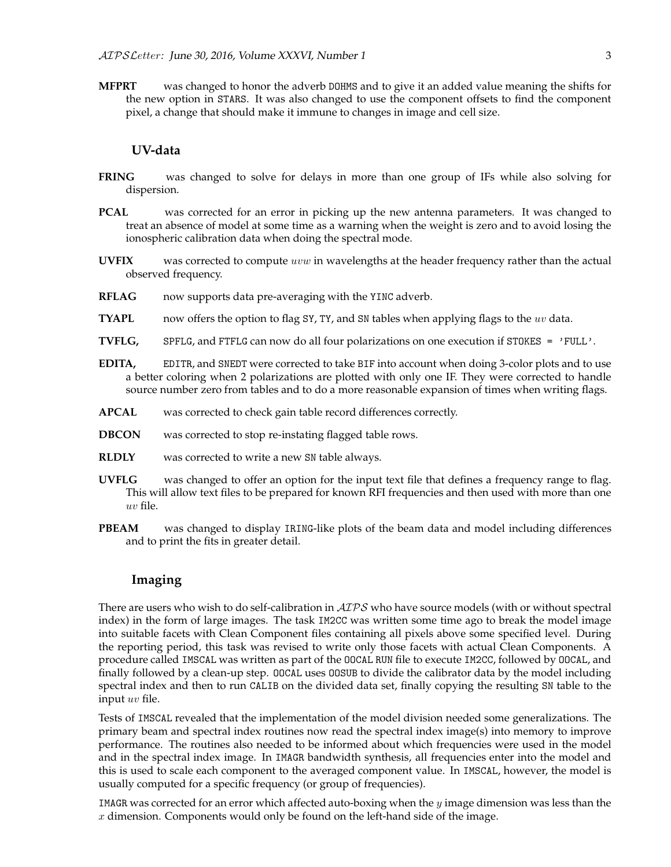**MFPRT** was changed to honor the adverb DOHMS and to give it an added value meaning the shifts for the new option in STARS. It was also changed to use the component offsets to find the component pixel, a change that should make it immune to changes in image and cell size.

#### **UV-data**

- **FRING** was changed to solve for delays in more than one group of IFs while also solving for dispersion.
- **PCAL** was corrected for an error in picking up the new antenna parameters. It was changed to treat an absence of model at some time as a warning when the weight is zero and to avoid losing the ionospheric calibration data when doing the spectral mode.
- **UVFIX** was corrected to compute uvw in wavelengths at the header frequency rather than the actual observed frequency.
- **RFLAG** now supports data pre-averaging with the YINC adverb.
- **TYAPL** now offers the option to flag SY, TY, and SN tables when applying flags to the uv data.
- **TVFLG,** SPFLG, and FTFLG can now do all four polarizations on one execution if STOKES = 'FULL'.
- **EDITA,** EDITR, and SNEDT were corrected to take BIF into account when doing 3-color plots and to use a better coloring when 2 polarizations are plotted with only one IF. They were corrected to handle source number zero from tables and to do a more reasonable expansion of times when writing flags.
- **APCAL** was corrected to check gain table record differences correctly.
- **DBCON** was corrected to stop re-instating flagged table rows.
- **RLDLY** was corrected to write a new SN table always.
- **UVFLG** was changed to offer an option for the input text file that defines a frequency range to flag. This will allow text files to be prepared for known RFI frequencies and then used with more than one uv file.
- **PBEAM** was changed to display IRING-like plots of the beam data and model including differences and to print the fits in greater detail.

#### **Imaging**

There are users who wish to do self-calibration in  $\mathcal{AIPS}$  who have source models (with or without spectral index) in the form of large images. The task IM2CC was written some time ago to break the model image into suitable facets with Clean Component files containing all pixels above some specified level. During the reporting period, this task was revised to write only those facets with actual Clean Components. A procedure called IMSCAL was written as part of the OOCAL RUN file to execute IM2CC, followed by OOCAL, and finally followed by a clean-up step. OOCAL uses OOSUB to divide the calibrator data by the model including spectral index and then to run CALIB on the divided data set, finally copying the resulting SN table to the input uv file.

Tests of IMSCAL revealed that the implementation of the model division needed some generalizations. The primary beam and spectral index routines now read the spectral index image(s) into memory to improve performance. The routines also needed to be informed about which frequencies were used in the model and in the spectral index image. In IMAGR bandwidth synthesis, all frequencies enter into the model and this is used to scale each component to the averaged component value. In IMSCAL, however, the model is usually computed for a specific frequency (or group of frequencies).

IMAGR was corrected for an error which affected auto-boxing when the  $y$  image dimension was less than the  $x$  dimension. Components would only be found on the left-hand side of the image.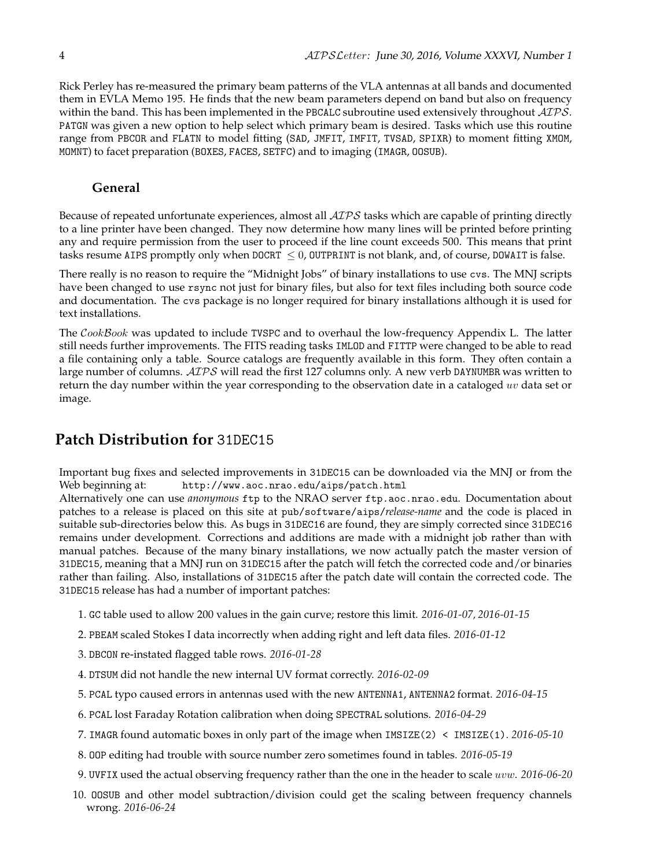Rick Perley has re-measured the primary beam patterns of the VLA antennas at all bands and documented them in EVLA Memo 195. He finds that the new beam parameters depend on band but also on frequency within the band. This has been implemented in the PBCALC subroutine used extensively throughout  $\mathcal{AIPS}$ . PATGN was given a new option to help select which primary beam is desired. Tasks which use this routine range from PBCOR and FLATN to model fitting (SAD, JMFIT, IMFIT, TVSAD, SPIXR) to moment fitting XMOM, MOMNT) to facet preparation (BOXES, FACES, SETFC) and to imaging (IMAGR, OOSUB).

### **General**

Because of repeated unfortunate experiences, almost all AIPS tasks which are capable of printing directly to a line printer have been changed. They now determine how many lines will be printed before printing any and require permission from the user to proceed if the line count exceeds 500. This means that print tasks resume AIPS promptly only when DOCRT  $\leq 0$ , OUTPRINT is not blank, and, of course, DOWAIT is false.

There really is no reason to require the "Midnight Jobs" of binary installations to use cvs. The MNJ scripts have been changed to use rsync not just for binary files, but also for text files including both source code and documentation. The cvs package is no longer required for binary installations although it is used for text installations.

The CookBook was updated to include TVSPC and to overhaul the low-frequency Appendix L. The latter still needs further improvements. The FITS reading tasks IMLOD and FITTP were changed to be able to read a file containing only a table. Source catalogs are frequently available in this form. They often contain a large number of columns.  $\mathcal{AIPS}$  will read the first 127 columns only. A new verb DAYNUMBR was written to return the day number within the year corresponding to the observation date in a cataloged  $uv$  data set or image.

# **Patch Distribution for** 31DEC15

Important bug fixes and selected improvements in 31DEC15 can be downloaded via the MNJ or from the Web beginning at: http://www.aoc.nrao.edu/aips/patch.html

Alternatively one can use *anonymous* ftp to the NRAO server ftp.aoc.nrao.edu. Documentation about patches to a release is placed on this site at pub/software/aips/*release-name* and the code is placed in suitable sub-directories below this. As bugs in 31DEC16 are found, they are simply corrected since 31DEC16 remains under development. Corrections and additions are made with a midnight job rather than with manual patches. Because of the many binary installations, we now actually patch the master version of 31DEC15, meaning that a MNJ run on 31DEC15 after the patch will fetch the corrected code and/or binaries rather than failing. Also, installations of 31DEC15 after the patch date will contain the corrected code. The 31DEC15 release has had a number of important patches:

- 1. GC table used to allow 200 values in the gain curve; restore this limit. *2016-01-07, 2016-01-15*
- 2. PBEAM scaled Stokes I data incorrectly when adding right and left data files. *2016-01-12*
- 3. DBCON re-instated flagged table rows. *2016-01-28*
- 4. DTSUM did not handle the new internal UV format correctly. *2016-02-09*
- 5. PCAL typo caused errors in antennas used with the new ANTENNA1, ANTENNA2 format. *2016-04-15*
- 6. PCAL lost Faraday Rotation calibration when doing SPECTRAL solutions. *2016-04-29*
- 7. IMAGR found automatic boxes in only part of the image when IMSIZE(2) < IMSIZE(1). *2016-05-10*
- 8. OOP editing had trouble with source number zero sometimes found in tables. *2016-05-19*
- 9. UVFIX used the actual observing frequency rather than the one in the header to scale uvw. *2016-06-20*
- 10. OOSUB and other model subtraction/division could get the scaling between frequency channels wrong. *2016-06-24*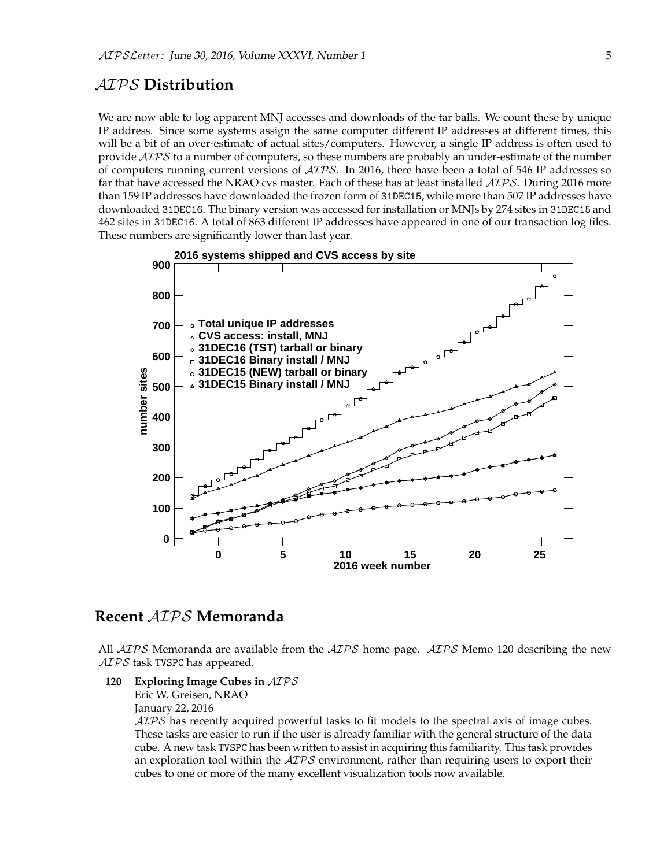### AIPS **Distribution**

We are now able to log apparent MNJ accesses and downloads of the tar balls. We count these by unique IP address. Since some systems assign the same computer different IP addresses at different times, this will be a bit of an over-estimate of actual sites/computers. However, a single IP address is often used to provide  $AIPS$  to a number of computers, so these numbers are probably an under-estimate of the number of computers running current versions of  $\langle \angle ATPS \rangle$ . In 2016, there have been a total of 546 IP addresses so far that have accessed the NRAO cvs master. Each of these has at least installed  $\mathcal{AIPS}$ . During 2016 more than 159 IP addresses have downloaded the frozen form of 31DEC15, while more than 507 IP addresses have downloaded 31DEC16. The binary version was accessed for installation or MNJs by 274 sites in 31DEC15 and 462 sites in 31DEC16. A total of 863 different IP addresses have appeared in one of our transaction log files. These numbers are significantly lower than last year.



## **Recent** AIPS **Memoranda**

All  $ATPS$  Memoranda are available from the  $ATPS$  home page.  $ATPS$  Memo 120 describing the new ATPS task TVSPC has appeared.

**120 Exploring Image Cubes in** AIPS

Eric W. Greisen, NRAO January 22, 2016

AIPS has recently acquired powerful tasks to fit models to the spectral axis of image cubes. These tasks are easier to run if the user is already familiar with the general structure of the data cube. A new task TVSPC has been written to assist in acquiring this familiarity. This task provides an exploration tool within the  $AIPS$  environment, rather than requiring users to export their cubes to one or more of the many excellent visualization tools now available.